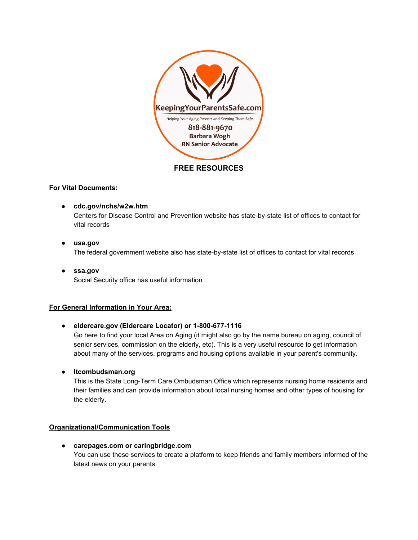

## **FREE RESOURCES**

# **For Vital Documents:**

- **cdc.gov/nchs/w2w.htm** Centers for Disease Control and Prevention website has state-by-state list of offices to contact for vital records
- **● usa.gov** The federal government website also has state-by-state list of offices to contact for vital records
- **● ssa.gov** Social Security office has useful information

# **For General Information in Your Area:**

**• eldercare.gov** (Eldercare Locator) or 1-800-677-1116

Go here to find your local Area on Aging (it might also go by the name bureau on aging, council of senior services, commission on the elderly, etc). This is a very useful resource to get information about many of the services, programs and housing options available in your parent's community.

**● ltcombudsman.org**

This is the State Long-Term Care Ombudsman Office which represents nursing home residents and their families and can provide information about local nursing homes and other types of housing for the elderly.

# **Organizational/Communication Tools**

**● carepages.com or caringbridge.com** You can use these services to create a platform to keep friends and family members informed of the latest news on your parents.